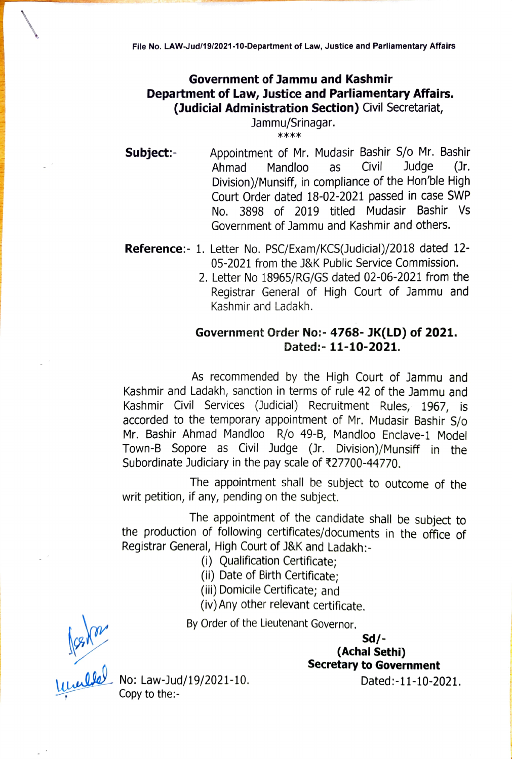## Government of Jammu and Kashmir Department of Law, Justice and Parliamentary Affairs. (Judicial Administration Section) Civil Secretariat,

## Jammu/Srinagar. \*\*\*

**Subject:-** Appointment of Mr. Mudasir Bashir S/o Mr. Bashir<br>Ahmad Mandloo as Civil Judge (Jr. Ahmad Mandloo as Civil Judge (Jr. Division)/Munsifi, in compliance of the Hon'ble High Court Order dated 18-02-2021 passed in case SWP No. 3898 of 2019 titled Mudasir Bashir Vs Government of Jammu and Kashmir and others.

- Reference: 1. Letter No. PSC/Exam/KCS(Judicial)/2018 dated 12-05-2021 from the J&K Public Service Commission.
	- 2. Letter No 18965/RG/GS dated 02-06-2021 from the Registrar General of High Court of Jammu and Kashmir and Ladakh.

## Government Order No:- 4768- JK(LD) of 2021. Dated:- 11-10-2021.

As recommended by the High Court of Jammu and Kashmir and Ladakh, sanction in terms of rule 42 of the Jammu and Kashmir Civil Services (Judicial) Recruitment Rules, 1967, is accorded to the temporary appointment of Mr. Mudasir Bashir S/o Mr. Bashir Ahmad Mandloo R/o 49-8, Mandloo Enclave-1 Mode Town-B Sopore as Civil Judge (Jr. Division)/Munsiff in the Subordinate Judiciary in the pay scale of  $\text{\texttt{327700}}$ -44770.

The appointment shall be subject to outcome of the writ petition, if any, pending on the subject.

The appointment of the candidate shall be subject to the production of following certificates/documents in the office of Registrar General, High Court of J&K and Ladakh:

- (i) Qualification Certificate;
- (i) Date of Birth Certificate;
- (ii) Domicile Certificate; and

(iv) Any other relevant certificate.

By Order of the Lieutenant Governor.

Sd/ (Achal Sethi) Secretary to Government

Dated:-11-10-2021.

 $\frac{\sqrt{3}}{2}$  No: Law-Jud/19/2021-10.

Copy to the